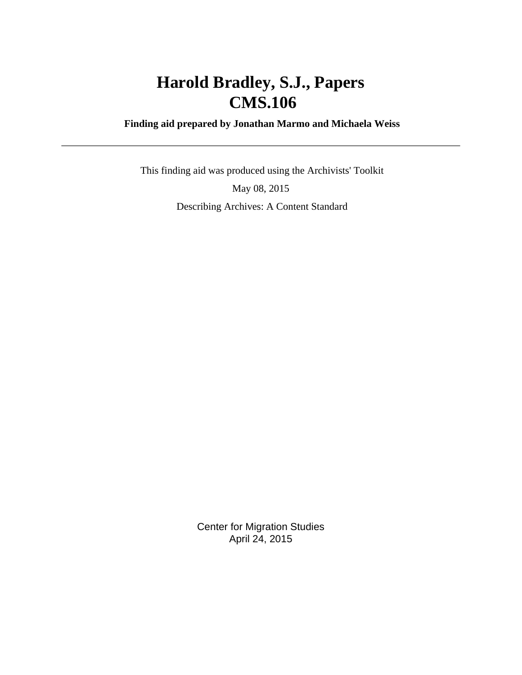# **Harold Bradley, S.J., Papers CMS.106**

 **Finding aid prepared by Jonathan Marmo and Michaela Weiss**

 This finding aid was produced using the Archivists' Toolkit May 08, 2015 Describing Archives: A Content Standard

> Center for Migration Studies April 24, 2015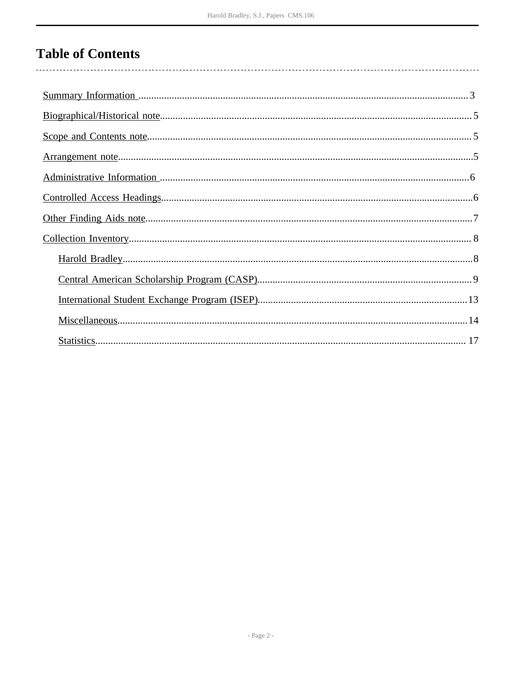# **Table of Contents**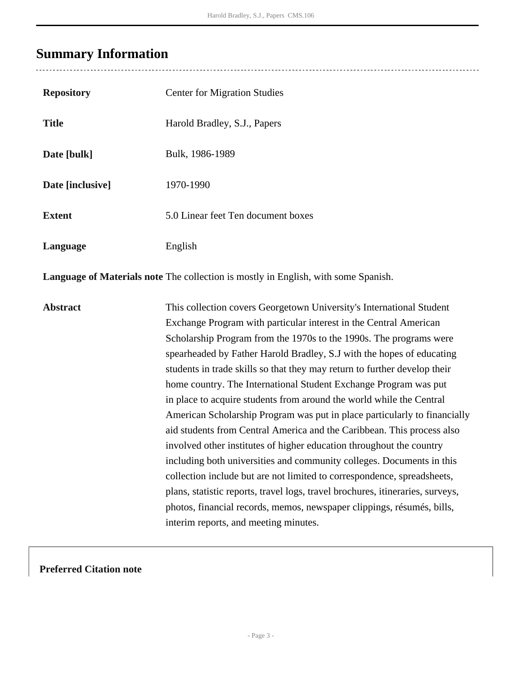### <span id="page-2-0"></span>**Summary Information**

| <b>Repository</b> | <b>Center for Migration Studies</b> |
|-------------------|-------------------------------------|
| <b>Title</b>      | Harold Bradley, S.J., Papers        |
| Date [bulk]       | Bulk, 1986-1989                     |
| Date [inclusive]  | 1970-1990                           |
| <b>Extent</b>     | 5.0 Linear feet Ten document boxes  |
| Language          | English                             |
|                   |                                     |

**Language of Materials note** The collection is mostly in English, with some Spanish.

**Abstract** This collection covers Georgetown University's International Student Exchange Program with particular interest in the Central American Scholarship Program from the 1970s to the 1990s. The programs were spearheaded by Father Harold Bradley, S.J with the hopes of educating students in trade skills so that they may return to further develop their home country. The International Student Exchange Program was put in place to acquire students from around the world while the Central American Scholarship Program was put in place particularly to financially aid students from Central America and the Caribbean. This process also involved other institutes of higher education throughout the country including both universities and community colleges. Documents in this collection include but are not limited to correspondence, spreadsheets, plans, statistic reports, travel logs, travel brochures, itineraries, surveys, photos, financial records, memos, newspaper clippings, résumés, bills, interim reports, and meeting minutes.

#### **Preferred Citation note**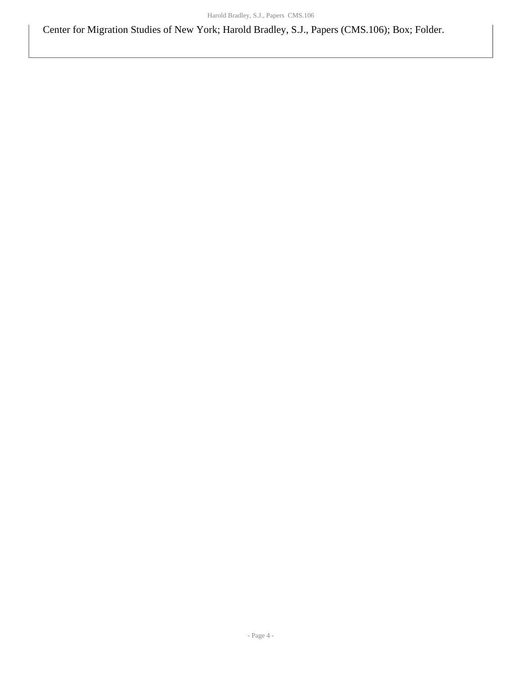Center for Migration Studies of New York; Harold Bradley, S.J., Papers (CMS.106); Box; Folder.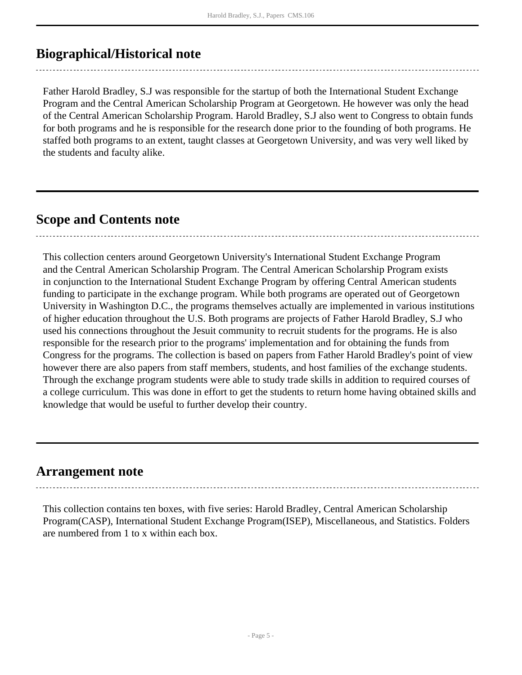## <span id="page-4-0"></span>**Biographical/Historical note**

Father Harold Bradley, S.J was responsible for the startup of both the International Student Exchange Program and the Central American Scholarship Program at Georgetown. He however was only the head of the Central American Scholarship Program. Harold Bradley, S.J also went to Congress to obtain funds for both programs and he is responsible for the research done prior to the founding of both programs. He staffed both programs to an extent, taught classes at Georgetown University, and was very well liked by the students and faculty alike.

## <span id="page-4-1"></span>**Scope and Contents note**

This collection centers around Georgetown University's International Student Exchange Program and the Central American Scholarship Program. The Central American Scholarship Program exists in conjunction to the International Student Exchange Program by offering Central American students funding to participate in the exchange program. While both programs are operated out of Georgetown University in Washington D.C., the programs themselves actually are implemented in various institutions of higher education throughout the U.S. Both programs are projects of Father Harold Bradley, S.J who used his connections throughout the Jesuit community to recruit students for the programs. He is also responsible for the research prior to the programs' implementation and for obtaining the funds from Congress for the programs. The collection is based on papers from Father Harold Bradley's point of view however there are also papers from staff members, students, and host families of the exchange students. Through the exchange program students were able to study trade skills in addition to required courses of a college curriculum. This was done in effort to get the students to return home having obtained skills and knowledge that would be useful to further develop their country.

### <span id="page-4-2"></span>**Arrangement note**

This collection contains ten boxes, with five series: Harold Bradley, Central American Scholarship Program(CASP), International Student Exchange Program(ISEP), Miscellaneous, and Statistics. Folders are numbered from 1 to x within each box.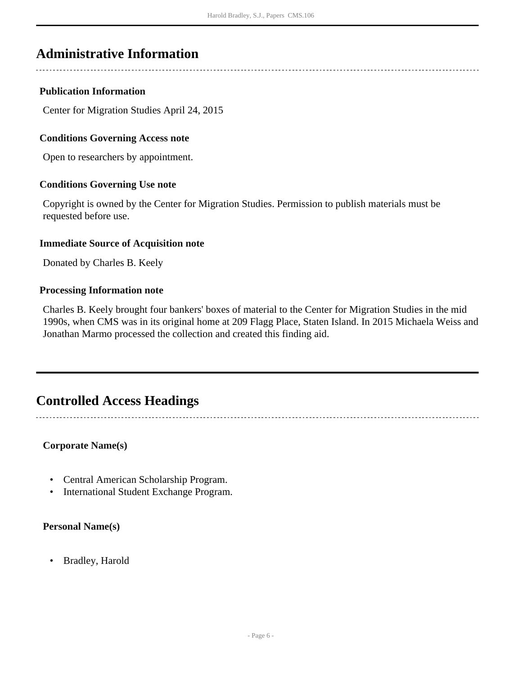## <span id="page-5-0"></span>**Administrative Information**

#### **Publication Information**

Center for Migration Studies April 24, 2015

#### **Conditions Governing Access note**

Open to researchers by appointment.

#### **Conditions Governing Use note**

Copyright is owned by the Center for Migration Studies. Permission to publish materials must be requested before use.

#### **Immediate Source of Acquisition note**

Donated by Charles B. Keely

#### **Processing Information note**

Charles B. Keely brought four bankers' boxes of material to the Center for Migration Studies in the mid 1990s, when CMS was in its original home at 209 Flagg Place, Staten Island. In 2015 Michaela Weiss and Jonathan Marmo processed the collection and created this finding aid.

## <span id="page-5-1"></span>**Controlled Access Headings**

#### **Corporate Name(s)**

- Central American Scholarship Program.
- International Student Exchange Program.

#### **Personal Name(s)**

• Bradley, Harold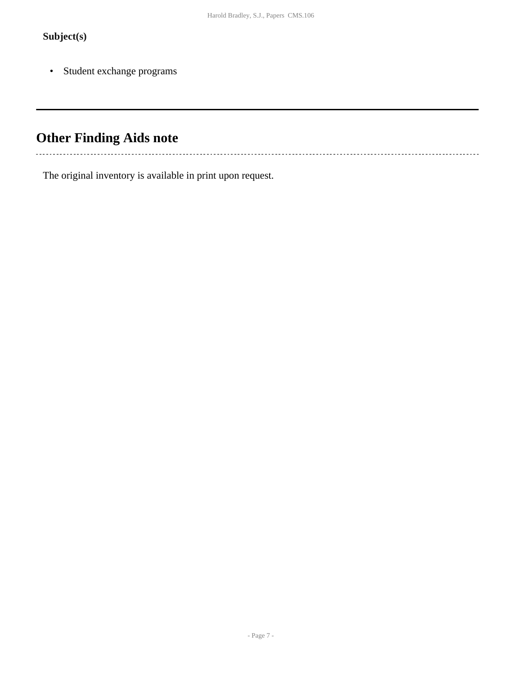### **Subject(s)**

 $\ddot{\phantom{a}}$ 

• Student exchange programs

# <span id="page-6-0"></span>**Other Finding Aids note**

The original inventory is available in print upon request.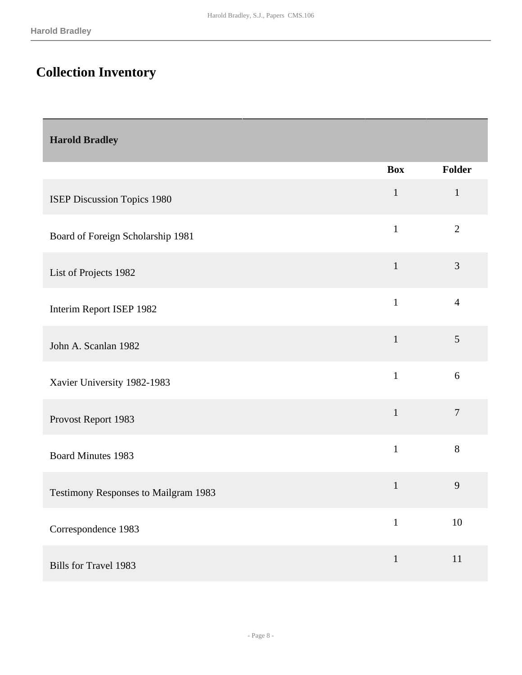# <span id="page-7-0"></span>**Collection Inventory**

<span id="page-7-1"></span>

| <b>Harold Bradley</b>                |              |                |
|--------------------------------------|--------------|----------------|
|                                      | <b>Box</b>   | Folder         |
| ISEP Discussion Topics 1980          | $\mathbf{1}$ | $\mathbf{1}$   |
| Board of Foreign Scholarship 1981    | $\mathbf{1}$ | $\overline{2}$ |
| List of Projects 1982                | $\mathbf{1}$ | 3              |
| Interim Report ISEP 1982             | $\mathbf{1}$ | $\overline{4}$ |
| John A. Scanlan 1982                 | $\mathbf{1}$ | 5              |
| Xavier University 1982-1983          | $\mathbf{1}$ | 6              |
| Provost Report 1983                  | $\mathbf{1}$ | $\overline{7}$ |
| <b>Board Minutes 1983</b>            | $\mathbf{1}$ | $8\,$          |
| Testimony Responses to Mailgram 1983 | $\mathbf{1}$ | $\mathbf{9}$   |
| Correspondence 1983                  | $\mathbf{1}$ | $10\,$         |
| <b>Bills for Travel 1983</b>         | $\mathbf{1}$ | $11\,$         |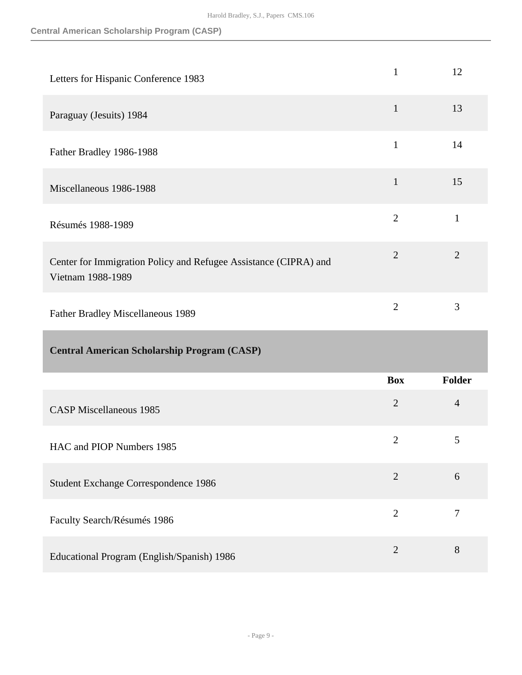<span id="page-8-0"></span>

| Letters for Hispanic Conference 1983                                                  | $\mathbf{1}$   | 12             |
|---------------------------------------------------------------------------------------|----------------|----------------|
| Paraguay (Jesuits) 1984                                                               | $\mathbf{1}$   | 13             |
| Father Bradley 1986-1988                                                              | $\mathbf{1}$   | 14             |
| Miscellaneous 1986-1988                                                               | $\mathbf{1}$   | 15             |
| Résumés 1988-1989                                                                     | $\overline{2}$ | $\mathbf{1}$   |
| Center for Immigration Policy and Refugee Assistance (CIPRA) and<br>Vietnam 1988-1989 | $\overline{2}$ | $\overline{2}$ |
|                                                                                       | $\overline{2}$ | 3              |
| Father Bradley Miscellaneous 1989                                                     |                |                |
| <b>Central American Scholarship Program (CASP)</b>                                    |                |                |
|                                                                                       | <b>Box</b>     | Folder         |
| <b>CASP Miscellaneous 1985</b>                                                        | $\overline{2}$ | $\overline{4}$ |
| HAC and PIOP Numbers 1985                                                             | $\mathbf{2}$   | 5              |
| Student Exchange Correspondence 1986                                                  | $\overline{2}$ | $6\,$          |
| Faculty Search/Résumés 1986                                                           | $\overline{2}$ | $\tau$         |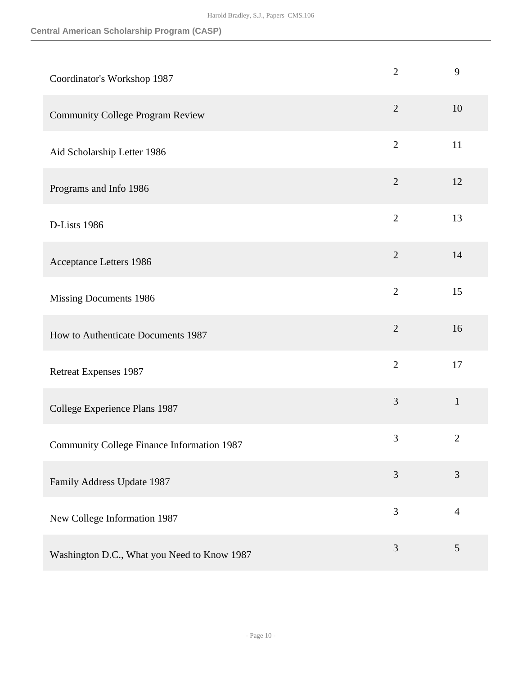#### **Central American Scholarship Program (CASP)**

| Coordinator's Workshop 1987                       | $\overline{2}$ | 9              |
|---------------------------------------------------|----------------|----------------|
| <b>Community College Program Review</b>           | $\overline{2}$ | 10             |
| Aid Scholarship Letter 1986                       | $\overline{2}$ | 11             |
| Programs and Info 1986                            | $\overline{2}$ | 12             |
| D-Lists 1986                                      | $\overline{2}$ | 13             |
| Acceptance Letters 1986                           | $\overline{2}$ | 14             |
| Missing Documents 1986                            | $\overline{2}$ | 15             |
| How to Authenticate Documents 1987                | $\overline{2}$ | 16             |
| <b>Retreat Expenses 1987</b>                      | $\overline{2}$ | 17             |
| College Experience Plans 1987                     | $\mathfrak{Z}$ | $\mathbf{1}$   |
| <b>Community College Finance Information 1987</b> | 3              | $\overline{2}$ |
| Family Address Update 1987                        | 3              | 3              |
| New College Information 1987                      | 3              | $\overline{4}$ |
| Washington D.C., What you Need to Know 1987       | 3              | $\mathfrak{S}$ |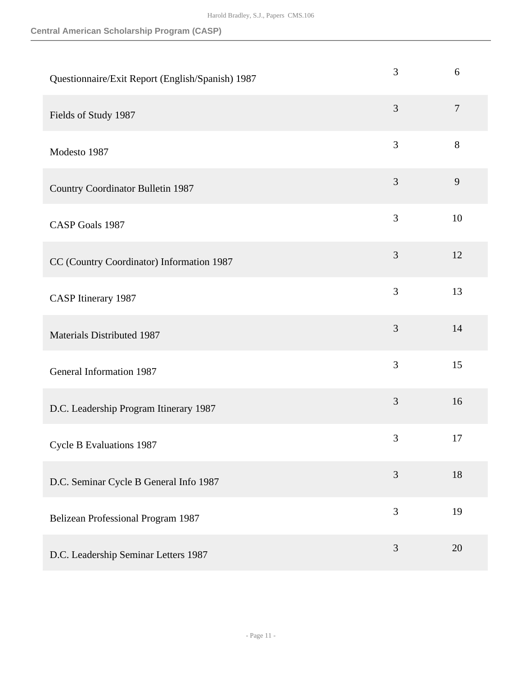| Questionnaire/Exit Report (English/Spanish) 1987 | 3              | 6                |
|--------------------------------------------------|----------------|------------------|
| Fields of Study 1987                             | 3              | $\boldsymbol{7}$ |
| Modesto 1987                                     | 3              | $8\,$            |
| <b>Country Coordinator Bulletin 1987</b>         | $\mathfrak{Z}$ | 9                |
| <b>CASP Goals 1987</b>                           | $\mathfrak{Z}$ | 10               |
| CC (Country Coordinator) Information 1987        | 3              | 12               |
| <b>CASP</b> Itinerary 1987                       | 3              | 13               |
| Materials Distributed 1987                       | 3              | 14               |
| General Information 1987                         | 3              | 15               |
| D.C. Leadership Program Itinerary 1987           | 3              | 16               |
| <b>Cycle B Evaluations 1987</b>                  | 3              | 17               |
| D.C. Seminar Cycle B General Info 1987           | 3              | 18               |
| Belizean Professional Program 1987               | 3              | 19               |
| D.C. Leadership Seminar Letters 1987             | 3              | 20               |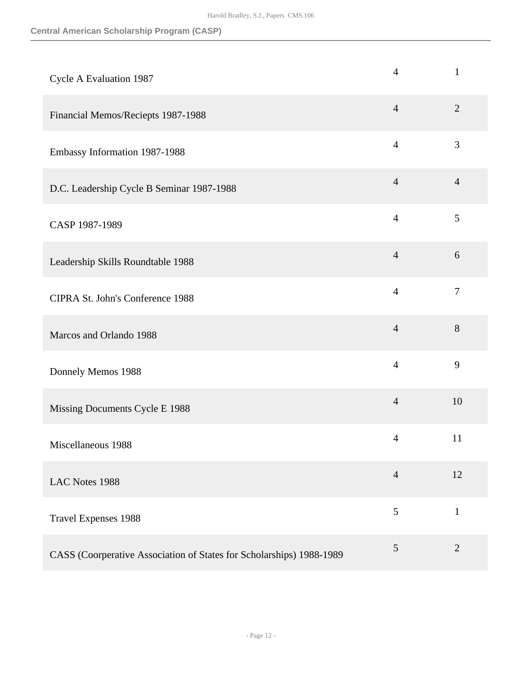#### **Central American Scholarship Program (CASP)**

| Cycle A Evaluation 1987                                              | $\overline{4}$ | $\mathbf{1}$   |
|----------------------------------------------------------------------|----------------|----------------|
| Financial Memos/Reciepts 1987-1988                                   | $\overline{4}$ | $\overline{2}$ |
| Embassy Information 1987-1988                                        | $\overline{4}$ | 3              |
| D.C. Leadership Cycle B Seminar 1987-1988                            | $\overline{4}$ | $\overline{4}$ |
| CASP 1987-1989                                                       | $\overline{4}$ | 5              |
| Leadership Skills Roundtable 1988                                    | $\overline{4}$ | 6              |
| CIPRA St. John's Conference 1988                                     | $\overline{4}$ | $\overline{7}$ |
| Marcos and Orlando 1988                                              | $\overline{4}$ | 8              |
| Donnely Memos 1988                                                   | $\overline{4}$ | 9              |
| Missing Documents Cycle E 1988                                       | $\overline{4}$ | 10             |
| Miscellaneous 1988                                                   | $\overline{4}$ | 11             |
| LAC Notes 1988                                                       | $\overline{4}$ | 12             |
| <b>Travel Expenses 1988</b>                                          | 5              | $\mathbf{1}$   |
| CASS (Coorperative Association of States for Scholarships) 1988-1989 | $\sqrt{5}$     | $\sqrt{2}$     |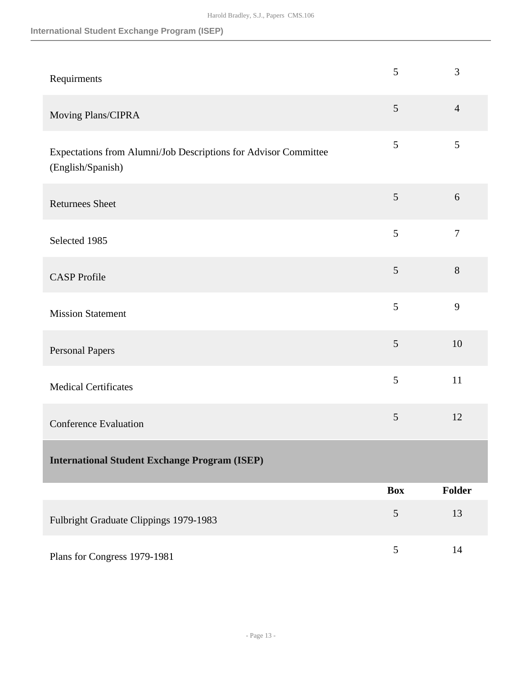#### **International Student Exchange Program (ISEP)**

<span id="page-12-0"></span>

| Requirments                                                                          | 5              | 3              |
|--------------------------------------------------------------------------------------|----------------|----------------|
| Moving Plans/CIPRA                                                                   | $\mathfrak{S}$ | $\overline{4}$ |
| Expectations from Alumni/Job Descriptions for Advisor Committee<br>(English/Spanish) | 5              | 5              |
| <b>Returnees Sheet</b>                                                               | 5              | 6              |
| Selected 1985                                                                        | 5              | $\tau$         |
| <b>CASP</b> Profile                                                                  | 5              | $8\,$          |
| <b>Mission Statement</b>                                                             | 5              | 9              |
| Personal Papers                                                                      | 5              | 10             |
| <b>Medical Certificates</b>                                                          | 5              | 11             |
| <b>Conference Evaluation</b>                                                         | 5              | 12             |
| <b>International Student Exchange Program (ISEP)</b>                                 |                |                |
|                                                                                      | <b>Box</b>     | Folder         |
| Fulbright Graduate Clippings 1979-1983                                               | 5              | 13             |
| Plans for Congress 1979-1981                                                         | 5              | 14             |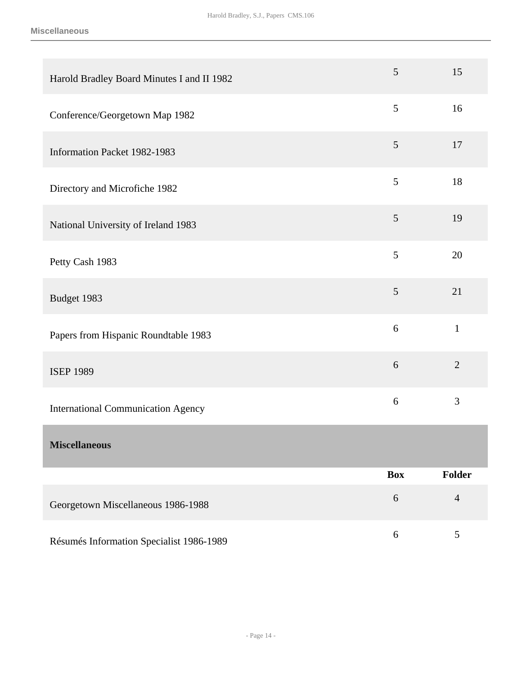<span id="page-13-0"></span>

| Harold Bradley Board Minutes I and II 1982 | 5                | 15             |
|--------------------------------------------|------------------|----------------|
| Conference/Georgetown Map 1982             | 5                | 16             |
| Information Packet 1982-1983               | $\mathfrak{S}$   | 17             |
| Directory and Microfiche 1982              | 5                | 18             |
| National University of Ireland 1983        | 5                | 19             |
| Petty Cash 1983                            | $\mathfrak{S}$   | 20             |
| Budget 1983                                | $\mathfrak{S}$   | 21             |
| Papers from Hispanic Roundtable 1983       | 6                | $\mathbf{1}$   |
| <b>ISEP 1989</b>                           | 6                | $\overline{2}$ |
| <b>International Communication Agency</b>  | 6                | 3              |
| <b>Miscellaneous</b>                       |                  |                |
|                                            | <b>Box</b>       | Folder         |
| Georgetown Miscellaneous 1986-1988         | $\boldsymbol{6}$ | $\overline{4}$ |
| Résumés Information Specialist 1986-1989   | $\boldsymbol{6}$ | $\mathfrak{S}$ |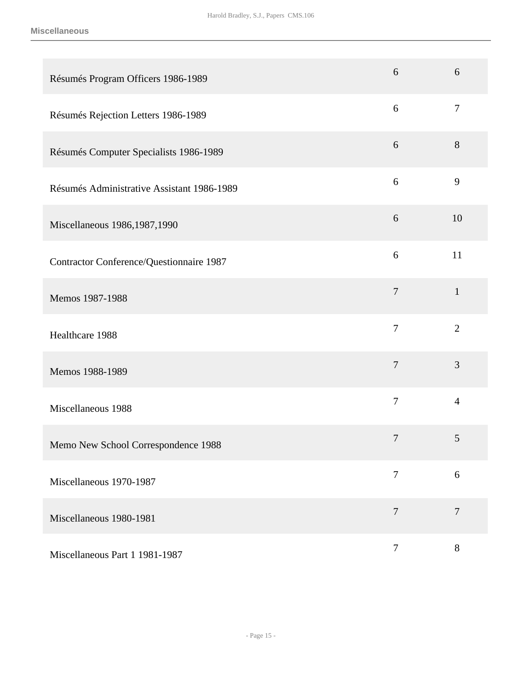| Résumés Program Officers 1986-1989         | 6              | 6              |
|--------------------------------------------|----------------|----------------|
| Résumés Rejection Letters 1986-1989        | 6              | $\overline{7}$ |
| Résumés Computer Specialists 1986-1989     | 6              | 8              |
| Résumés Administrative Assistant 1986-1989 | 6              | 9              |
| Miscellaneous 1986, 1987, 1990             | 6              | 10             |
| Contractor Conference/Questionnaire 1987   | 6              | 11             |
| Memos 1987-1988                            | $\tau$         | $\mathbf{1}$   |
| Healthcare 1988                            | $\overline{7}$ | $\overline{2}$ |
| Memos 1988-1989                            | $\overline{7}$ | 3              |
| Miscellaneous 1988                         | $\overline{7}$ | $\overline{4}$ |
| Memo New School Correspondence 1988        | $\tau$         | 5              |
| Miscellaneous 1970-1987                    | $\overline{7}$ | $6\,$          |
| Miscellaneous 1980-1981                    | $\overline{7}$ | $\overline{7}$ |
| Miscellaneous Part 1 1981-1987             | $\overline{7}$ | $8\,$          |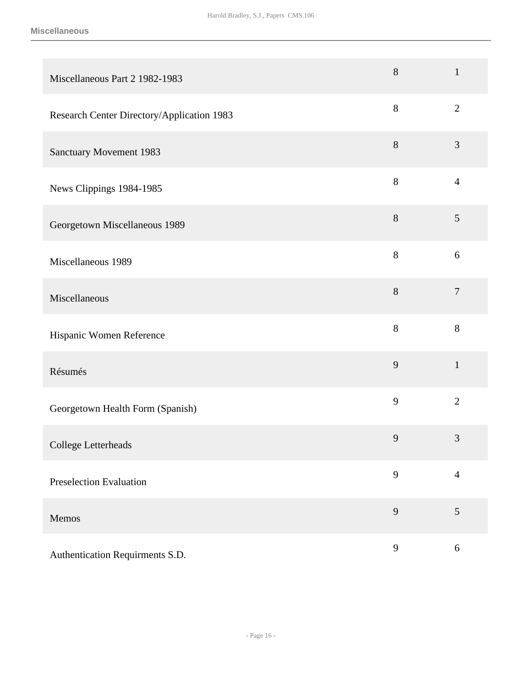| Miscellaneous Part 2 1982-1983             | $8\,$        | $\mathbf{1}$   |
|--------------------------------------------|--------------|----------------|
| Research Center Directory/Application 1983 | $8\,$        | $\overline{2}$ |
| <b>Sanctuary Movement 1983</b>             | 8            | 3              |
| News Clippings 1984-1985                   | 8            | $\overline{4}$ |
| Georgetown Miscellaneous 1989              | 8            | 5              |
| Miscellaneous 1989                         | $8\,$        | 6              |
| Miscellaneous                              | $8\,$        | $\tau$         |
| Hispanic Women Reference                   | $8\,$        | 8              |
| Résumés                                    | 9            | $\mathbf{1}$   |
| Georgetown Health Form (Spanish)           | 9            | $\overline{2}$ |
| College Letterheads                        | 9            | 3              |
| <b>Preselection Evaluation</b>             | 9            | $\overline{4}$ |
| Memos                                      | 9            | 5              |
| Authentication Requirments S.D.            | $\mathbf{9}$ | $\sqrt{6}$     |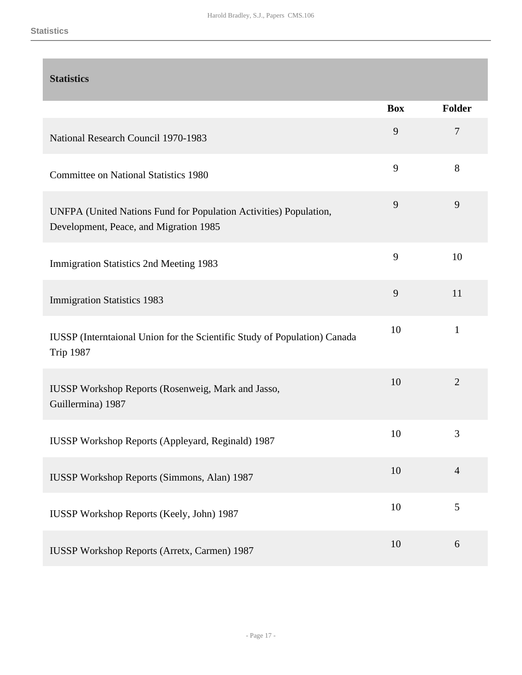### <span id="page-16-0"></span>**Statistics**

|                                                                                                             | <b>Box</b> | <b>Folder</b>  |
|-------------------------------------------------------------------------------------------------------------|------------|----------------|
| National Research Council 1970-1983                                                                         | 9          | $\tau$         |
| <b>Committee on National Statistics 1980</b>                                                                | 9          | 8              |
| UNFPA (United Nations Fund for Population Activities) Population,<br>Development, Peace, and Migration 1985 | 9          | 9              |
| <b>Immigration Statistics 2nd Meeting 1983</b>                                                              | 9          | 10             |
| <b>Immigration Statistics 1983</b>                                                                          | 9          | 11             |
| IUSSP (Interntaional Union for the Scientific Study of Population) Canada<br><b>Trip 1987</b>               | 10         | $\mathbf{1}$   |
| <b>IUSSP Workshop Reports (Rosenweig, Mark and Jasso,</b><br>Guillermina) 1987                              | 10         | $\overline{2}$ |
| IUSSP Workshop Reports (Appleyard, Reginald) 1987                                                           | 10         | 3              |
| <b>IUSSP Workshop Reports (Simmons, Alan) 1987</b>                                                          | 10         | $\overline{4}$ |
| IUSSP Workshop Reports (Keely, John) 1987                                                                   | 10         | $\mathfrak{S}$ |
| <b>IUSSP Workshop Reports (Arretx, Carmen) 1987</b>                                                         | 10         | 6              |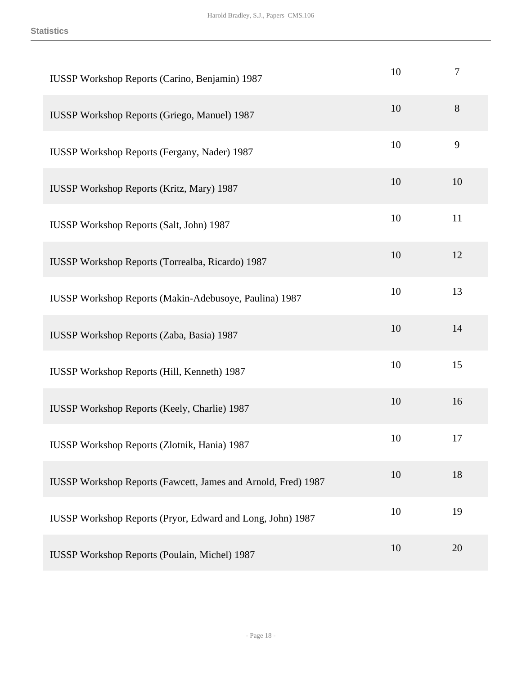| IUSSP Workshop Reports (Carino, Benjamin) 1987                | 10 | 7     |
|---------------------------------------------------------------|----|-------|
| <b>IUSSP Workshop Reports (Griego, Manuel) 1987</b>           | 10 | $8\,$ |
| <b>IUSSP Workshop Reports (Fergany, Nader) 1987</b>           | 10 | 9     |
| <b>IUSSP Workshop Reports (Kritz, Mary) 1987</b>              | 10 | 10    |
| <b>IUSSP Workshop Reports (Salt, John) 1987</b>               | 10 | 11    |
| <b>IUSSP Workshop Reports (Torrealba, Ricardo) 1987</b>       | 10 | 12    |
| IUSSP Workshop Reports (Makin-Adebusoye, Paulina) 1987        | 10 | 13    |
| IUSSP Workshop Reports (Zaba, Basia) 1987                     | 10 | 14    |
| <b>IUSSP Workshop Reports (Hill, Kenneth) 1987</b>            | 10 | 15    |
| <b>IUSSP Workshop Reports (Keely, Charlie) 1987</b>           | 10 | 16    |
| <b>IUSSP Workshop Reports (Zlotnik, Hania) 1987</b>           | 10 | 17    |
| IUSSP Workshop Reports (Fawcett, James and Arnold, Fred) 1987 | 10 | 18    |
| IUSSP Workshop Reports (Pryor, Edward and Long, John) 1987    | 10 | 19    |
| IUSSP Workshop Reports (Poulain, Michel) 1987                 | 10 | 20    |